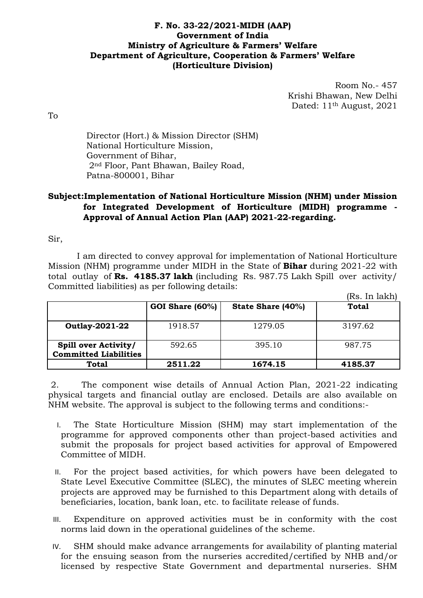## **F. No. 33-22/2021-MIDH (AAP) Government of India Ministry of Agriculture & Farmers' Welfare Department of Agriculture, Cooperation & Farmers' Welfare (Horticulture Division)**

Room No.- 457 Krishi Bhawan, New Delhi Dated: 11th August, 2021

To

Director (Hort.) & Mission Director (SHM) National Horticulture Mission, Government of Bihar, 2nd Floor, Pant Bhawan, Bailey Road, Patna-800001, Bihar

## **Subject:Implementation of National Horticulture Mission (NHM) under Mission for Integrated Development of Horticulture (MIDH) programme - Approval of Annual Action Plan (AAP) 2021-22-regarding.**

Sir,

I am directed to convey approval for implementation of National Horticulture Mission (NHM) programme under MIDH in the State of **Bihar** during 2021-22 with total outlay of **Rs. 4185.37 lakh** (including Rs. 987.75 Lakh Spill over activity/ Committed liabilities) as per following details:  $(D<sub>n</sub>, L<sub>n</sub>, 1<sub>n</sub>1<sub>n</sub>)$ 

|                                                      |                 |                   | IRS. In läkni |
|------------------------------------------------------|-----------------|-------------------|---------------|
|                                                      | GOI Share (60%) | State Share (40%) | <b>Total</b>  |
| <b>Outlay-2021-22</b>                                | 1918.57         | 1279.05           | 3197.62       |
| Spill over Activity/<br><b>Committed Liabilities</b> | 592.65          | 395.10            | 987.75        |
| <b>Total</b>                                         | 2511.22         | 1674.15           | 4185.37       |

2. The component wise details of Annual Action Plan, 2021-22 indicating physical targets and financial outlay are enclosed. Details are also available on NHM website. The approval is subject to the following terms and conditions:-

- I. The State Horticulture Mission (SHM) may start implementation of the programme for approved components other than project-based activities and submit the proposals for project based activities for approval of Empowered Committee of MIDH.
- II. For the project based activities, for which powers have been delegated to State Level Executive Committee (SLEC), the minutes of SLEC meeting wherein projects are approved may be furnished to this Department along with details of beneficiaries, location, bank loan, etc. to facilitate release of funds.
- III. Expenditure on approved activities must be in conformity with the cost norms laid down in the operational guidelines of the scheme.
- IV. SHM should make advance arrangements for availability of planting material for the ensuing season from the nurseries accredited/certified by NHB and/or licensed by respective State Government and departmental nurseries. SHM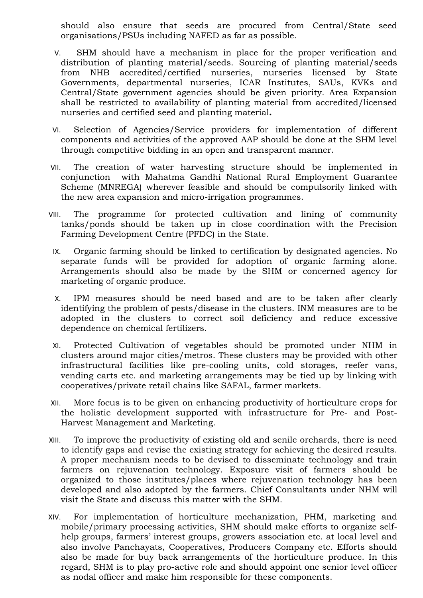should also ensure that seeds are procured from Central/State seed organisations/PSUs including NAFED as far as possible.

- V. SHM should have a mechanism in place for the proper verification and distribution of planting material/seeds. Sourcing of planting material/seeds from NHB accredited/certified nurseries, nurseries licensed by State Governments, departmental nurseries, ICAR Institutes, SAUs, KVKs and Central/State government agencies should be given priority. Area Expansion shall be restricted to availability of planting material from accredited/licensed nurseries and certified seed and planting material**.**
- VI. Selection of Agencies/Service providers for implementation of different components and activities of the approved AAP should be done at the SHM level through competitive bidding in an open and transparent manner.
- VII. The creation of water harvesting structure should be implemented in conjunction with Mahatma Gandhi National Rural Employment Guarantee Scheme (MNREGA) wherever feasible and should be compulsorily linked with the new area expansion and micro-irrigation programmes.
- VIII. The programme for protected cultivation and lining of community tanks/ponds should be taken up in close coordination with the Precision Farming Development Centre (PFDC) in the State.
	- IX. Organic farming should be linked to certification by designated agencies. No separate funds will be provided for adoption of organic farming alone. Arrangements should also be made by the SHM or concerned agency for marketing of organic produce.
	- X. IPM measures should be need based and are to be taken after clearly identifying the problem of pests/disease in the clusters. INM measures are to be adopted in the clusters to correct soil deficiency and reduce excessive dependence on chemical fertilizers.
- XI. Protected Cultivation of vegetables should be promoted under NHM in clusters around major cities/metros. These clusters may be provided with other infrastructural facilities like pre-cooling units, cold storages, reefer vans, vending carts etc. and marketing arrangements may be tied up by linking with cooperatives/private retail chains like SAFAL, farmer markets.
- XII. More focus is to be given on enhancing productivity of horticulture crops for the holistic development supported with infrastructure for Pre- and Post-Harvest Management and Marketing.
- XIII. To improve the productivity of existing old and senile orchards, there is need to identify gaps and revise the existing strategy for achieving the desired results. A proper mechanism needs to be devised to disseminate technology and train farmers on rejuvenation technology. Exposure visit of farmers should be organized to those institutes/places where rejuvenation technology has been developed and also adopted by the farmers. Chief Consultants under NHM will visit the State and discuss this matter with the SHM.
- XIV. For implementation of horticulture mechanization, PHM, marketing and mobile/primary processing activities, SHM should make efforts to organize selfhelp groups, farmers' interest groups, growers association etc. at local level and also involve Panchayats, Cooperatives, Producers Company etc. Efforts should also be made for buy back arrangements of the horticulture produce. In this regard, SHM is to play pro-active role and should appoint one senior level officer as nodal officer and make him responsible for these components.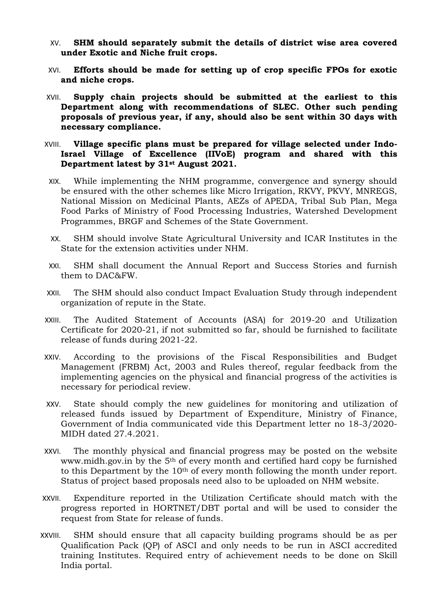- XV. **SHM should separately submit the details of district wise area covered under Exotic and Niche fruit crops.**
- XVI. **Efforts should be made for setting up of crop specific FPOs for exotic and niche crops.**
- XVII. **Supply chain projects should be submitted at the earliest to this Department along with recommendations of SLEC. Other such pending proposals of previous year, if any, should also be sent within 30 days with necessary compliance.**
- XVIII. **Village specific plans must be prepared for village selected under Indo-Israel Village of Excellence (IIVoE) program and shared with this Department latest by 31st August 2021.**
	- XIX. While implementing the NHM programme, convergence and synergy should be ensured with the other schemes like Micro Irrigation, RKVY, PKVY, MNREGS, National Mission on Medicinal Plants, AEZs of APEDA, Tribal Sub Plan, Mega Food Parks of Ministry of Food Processing Industries, Watershed Development Programmes, BRGF and Schemes of the State Government.
	- XX. SHM should involve State Agricultural University and ICAR Institutes in the State for the extension activities under NHM.
	- XXI. SHM shall document the Annual Report and Success Stories and furnish them to DAC&FW.
- XXII. The SHM should also conduct Impact Evaluation Study through independent organization of repute in the State.
- XXIII. The Audited Statement of Accounts (ASA) for 2019-20 and Utilization Certificate for 2020-21, if not submitted so far, should be furnished to facilitate release of funds during 2021-22.
- XXIV. According to the provisions of the Fiscal Responsibilities and Budget Management (FRBM) Act, 2003 and Rules thereof, regular feedback from the implementing agencies on the physical and financial progress of the activities is necessary for periodical review.
- XXV. State should comply the new guidelines for monitoring and utilization of released funds issued by Department of Expenditure, Ministry of Finance, Government of India communicated vide this Department letter no 18-3/2020- MIDH dated 27.4.2021.
- XXVI. The monthly physical and financial progress may be posted on the website www.midh.gov.in by the 5<sup>th</sup> of every month and certified hard copy be furnished to this Department by the 10th of every month following the month under report. Status of project based proposals need also to be uploaded on NHM website.
- XXVII. Expenditure reported in the Utilization Certificate should match with the progress reported in HORTNET/DBT portal and will be used to consider the request from State for release of funds.
- XXVIII. SHM should ensure that all capacity building programs should be as per Qualification Pack (QP) of ASCI and only needs to be run in ASCI accredited training Institutes. Required entry of achievement needs to be done on Skill India portal.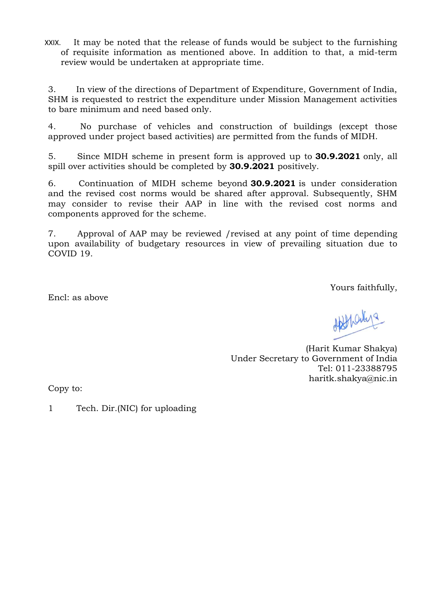XXIX. It may be noted that the release of funds would be subject to the furnishing of requisite information as mentioned above. In addition to that, a mid-term review would be undertaken at appropriate time.

3. In view of the directions of Department of Expenditure, Government of India, SHM is requested to restrict the expenditure under Mission Management activities to bare minimum and need based only.

4. No purchase of vehicles and construction of buildings (except those approved under project based activities) are permitted from the funds of MIDH.

5. Since MIDH scheme in present form is approved up to **30.9.2021** only, all spill over activities should be completed by **30.9.2021** positively.

6. Continuation of MIDH scheme beyond **30.9.2021** is under consideration and the revised cost norms would be shared after approval. Subsequently, SHM may consider to revise their AAP in line with the revised cost norms and components approved for the scheme.

7. Approval of AAP may be reviewed /revised at any point of time depending upon availability of budgetary resources in view of prevailing situation due to COVID 19.

Yours faithfully,

Encl: as above

Afthanys

(Harit Kumar Shakya) Under Secretary to Government of India Tel: 011-23388795 haritk.shakya@nic.in

Copy to:

1 Tech. Dir.(NIC) for uploading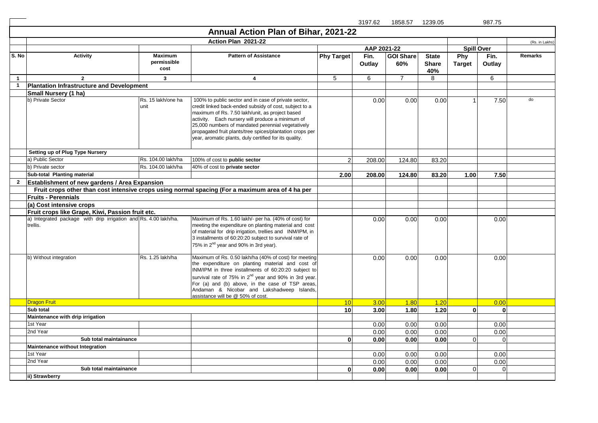|              |                                                                              |                                       |                                                                                                                                                                                                                                                                                                                                                                                                  |                   | 3197.62        | 1858.57 1239.05         |                                     |                      | 987.75         |                |
|--------------|------------------------------------------------------------------------------|---------------------------------------|--------------------------------------------------------------------------------------------------------------------------------------------------------------------------------------------------------------------------------------------------------------------------------------------------------------------------------------------------------------------------------------------------|-------------------|----------------|-------------------------|-------------------------------------|----------------------|----------------|----------------|
|              |                                                                              |                                       | Annual Action Plan of Bihar, 2021-22                                                                                                                                                                                                                                                                                                                                                             |                   |                |                         |                                     |                      |                |                |
|              |                                                                              |                                       | Action Plan 2021-22                                                                                                                                                                                                                                                                                                                                                                              |                   |                |                         |                                     |                      |                | (Rs. in Lakhs) |
|              |                                                                              |                                       |                                                                                                                                                                                                                                                                                                                                                                                                  |                   | AAP 2021-22    |                         |                                     | <b>Spill Over</b>    |                |                |
| S. No        | <b>Activity</b>                                                              | <b>Maximum</b><br>permissible<br>cost | <b>Pattern of Assistance</b>                                                                                                                                                                                                                                                                                                                                                                     | <b>Phy Target</b> | Fin.<br>Outlay | <b>GOI Share</b><br>60% | <b>State</b><br><b>Share</b><br>40% | Phy<br><b>Target</b> | Fin.<br>Outlay | Remarks        |
| $\mathbf{1}$ | $\overline{2}$                                                               | $\mathbf{3}$                          | $\overline{\mathbf{4}}$                                                                                                                                                                                                                                                                                                                                                                          | $5\,$             | 6              | $\overline{7}$          | 8                                   |                      | 6              |                |
| $\mathbf{1}$ | <b>Plantation Infrastructure and Development</b>                             |                                       |                                                                                                                                                                                                                                                                                                                                                                                                  |                   |                |                         |                                     |                      |                |                |
|              | Small Nursery (1 ha)                                                         |                                       |                                                                                                                                                                                                                                                                                                                                                                                                  |                   |                |                         |                                     |                      |                |                |
|              | b) Private Sector                                                            | Rs. 15 lakh/one ha<br>unit            | 100% to public sector and in case of private sector,<br>credit linked back-ended subsidy of cost, subject to a<br>maximum of Rs. 7.50 lakh/unit, as project based<br>activity. Each nursery will produce a minimum of<br>25,000 numbers of mandated perennial vegetatively<br>propagated fruit plants/tree spices/plantation crops per<br>year, aromatic plants, duly certified for its quality. |                   | 0.00           | 0.00                    | 0.00                                |                      | 7.50           | do             |
|              | Setting up of Plug Type Nursery                                              |                                       |                                                                                                                                                                                                                                                                                                                                                                                                  |                   |                |                         |                                     |                      |                |                |
|              | a) Public Sector                                                             | Rs. 104.00 lakh/ha                    | 100% of cost to public sector                                                                                                                                                                                                                                                                                                                                                                    | $\overline{c}$    | 208.00         | 124.80                  | 83.20                               |                      |                |                |
|              | b) Private sector                                                            | Rs. 104.00 lakh/ha                    | 40% of cost to private sector                                                                                                                                                                                                                                                                                                                                                                    |                   |                |                         |                                     |                      |                |                |
|              | Sub-total Planting material                                                  |                                       |                                                                                                                                                                                                                                                                                                                                                                                                  | 2.00              | 208.00         | 124.80                  | 83.20                               | 1.00                 | 7.50           |                |
| $\mathbf{2}$ | <b>Establishment of new gardens / Area Expansion</b>                         |                                       |                                                                                                                                                                                                                                                                                                                                                                                                  |                   |                |                         |                                     |                      |                |                |
|              |                                                                              |                                       | Fruit crops other than cost intensive crops using normal spacing (For a maximum area of 4 ha per                                                                                                                                                                                                                                                                                                 |                   |                |                         |                                     |                      |                |                |
|              | <b>Fruits - Perennials</b>                                                   |                                       |                                                                                                                                                                                                                                                                                                                                                                                                  |                   |                |                         |                                     |                      |                |                |
|              | (a) Cost intensive crops                                                     |                                       |                                                                                                                                                                                                                                                                                                                                                                                                  |                   |                |                         |                                     |                      |                |                |
|              | Fruit crops like Grape, Kiwi, Passion fruit etc.                             |                                       |                                                                                                                                                                                                                                                                                                                                                                                                  |                   |                |                         |                                     |                      |                |                |
|              | a) Integrated package with drip irrigation and Rs. 4.00 lakh/ha.<br>trellis. |                                       | Maximum of Rs. 1.60 lakh/- per ha. (40% of cost) for<br>meeting the expenditure on planting material and cost<br>of material for drip irrigation, trellies and INM/IPM, in<br>3 installments of 60:20:20 subject to survival rate of<br>75% in 2 <sup>nd</sup> year and 90% in 3rd year).                                                                                                        |                   | 0.00           | 0.00                    | 0.00                                |                      | 0.00           |                |
|              | b) Without integration                                                       | Rs. 1.25 lakh/ha                      | Maximum of Rs. 0.50 lakh/ha (40% of cost) for meeting<br>the expenditure on planting material and cost of<br>INM/IPM in three installments of 60:20:20 subject to<br>survival rate of 75% in 2 <sup>nd</sup> year and 90% in 3rd year.<br>For (a) and (b) above, in the case of TSP areas,<br>Andaman & Nicobar and Lakshadweep Islands,<br>assistance will be @ 50% of cost.                    |                   | 0.00           | 0.00                    | 0.00                                |                      | 0.00           |                |
|              | <b>Dragon Fruit</b>                                                          |                                       |                                                                                                                                                                                                                                                                                                                                                                                                  | 10                | 3.00           | 1.80                    | 1.20                                |                      | 0.00           |                |
|              | Sub total                                                                    |                                       |                                                                                                                                                                                                                                                                                                                                                                                                  | 10                | 3.00           | 1.80                    | 1.20                                | $\mathbf{0}$         | $\bf{0}$       |                |
|              | Maintenance with drip irrigation                                             |                                       |                                                                                                                                                                                                                                                                                                                                                                                                  |                   |                |                         |                                     |                      |                |                |
|              | 1st Year                                                                     |                                       |                                                                                                                                                                                                                                                                                                                                                                                                  |                   | 0.00           | 0.00                    | 0.00                                |                      | 0.00           |                |
|              | 2nd Year                                                                     |                                       |                                                                                                                                                                                                                                                                                                                                                                                                  |                   | 0.00           | 0.00                    | 0.00                                |                      | 0.00           |                |
|              | Sub total maintainance                                                       |                                       |                                                                                                                                                                                                                                                                                                                                                                                                  | $\mathbf{0}$      | 0.00           | 0.00                    | 0.00                                | $\Omega$             | $\Omega$       |                |
|              | Maintenance without Integration                                              |                                       |                                                                                                                                                                                                                                                                                                                                                                                                  |                   |                |                         |                                     |                      |                |                |
|              | 1st Year                                                                     |                                       |                                                                                                                                                                                                                                                                                                                                                                                                  |                   | 0.00           | 0.00                    | 0.00                                |                      | 0.00           |                |
|              | 2nd Year                                                                     |                                       |                                                                                                                                                                                                                                                                                                                                                                                                  |                   | 0.00           | 0.00                    | 0.00                                |                      | 0.00           |                |
|              | Sub total maintainance                                                       |                                       |                                                                                                                                                                                                                                                                                                                                                                                                  | $\mathbf{0}$      | 0.00           | 0.00                    | 0.00                                | $\mathbf{O}$         | $\Omega$       |                |
|              | ii) Strawberry                                                               |                                       |                                                                                                                                                                                                                                                                                                                                                                                                  |                   |                |                         |                                     |                      |                |                |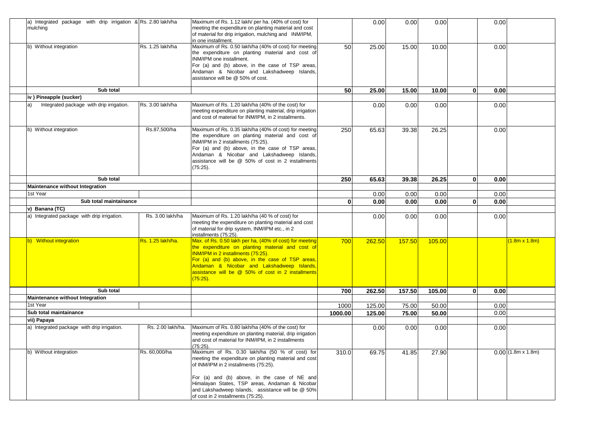| a) Integrated package with drip irrigation & Rs. 2.80 lakh/ha<br>mulching |                                | Maximum of Rs. 1.12 lakh/ per ha. (40% of cost) for<br>meeting the expenditure on planting material and cost<br>of material for drip irrigation, mulching and INM/IPM,<br>in one installment.                                                                                                                            |              | 0.00   | 0.00   | 0.00   |              | 0.00 |                      |
|---------------------------------------------------------------------------|--------------------------------|--------------------------------------------------------------------------------------------------------------------------------------------------------------------------------------------------------------------------------------------------------------------------------------------------------------------------|--------------|--------|--------|--------|--------------|------|----------------------|
| b) Without integration                                                    | Rs. 1.25 lakh/ha               | Maximum of Rs. 0.50 lakh/ha (40% of cost) for meeting<br>the expenditure on planting material and cost of<br>INM/IPM one installment.<br>For (a) and (b) above, in the case of TSP areas,<br>Andaman & Nicobar and Lakshadweep Islands,<br>assistance will be @ 50% of cost.                                             | 50           | 25.00  | 15.00  | 10.00  |              | 0.00 |                      |
| Sub total                                                                 |                                |                                                                                                                                                                                                                                                                                                                          | 50           | 25.00  | 15.00  | 10.00  | $\mathbf{0}$ | 0.00 |                      |
| iv ) Pineapple (sucker)                                                   |                                |                                                                                                                                                                                                                                                                                                                          |              |        |        |        |              |      |                      |
| Integrated package with drip irrigation.<br>a)                            | Rs. 3.00 lakh/ha               | Maximum of Rs. 1.20 lakh/ha (40% of the cost) for<br>meeting expenditure on planting material, drip irrigation<br>and cost of material for INM/IPM, in 2 installments.                                                                                                                                                   |              | 0.00   | 0.00   | 0.00   |              | 0.00 |                      |
| b) Without integration                                                    | Rs.87,500/ha                   | Maximum of Rs. 0.35 lakh/ha (40% of cost) for meeting<br>the expenditure on planting material and cost of<br>INM/IPM in 2 installments (75:25).<br>For (a) and (b) above, in the case of TSP areas,<br>Andaman & Nicobar and Lakshadweep Islands,<br>assistance will be @ 50% of cost in 2 installments<br>$(75:25)$ .   | 250          | 65.63  | 39.38  | 26.25  |              | 0.00 |                      |
| Sub total                                                                 |                                |                                                                                                                                                                                                                                                                                                                          | 250          | 65.63  | 39.38  | 26.25  | $\bf{0}$     | 0.00 |                      |
| Maintenance without Integration                                           |                                |                                                                                                                                                                                                                                                                                                                          |              |        |        |        |              |      |                      |
| 1st Year                                                                  |                                |                                                                                                                                                                                                                                                                                                                          |              | 0.00   | 0.00   | 0.00   |              | 0.00 |                      |
| Sub total maintainance                                                    |                                |                                                                                                                                                                                                                                                                                                                          | $\mathbf{0}$ | 0.00   | 0.00   | 0.00   | $\bf{0}$     | 0.00 |                      |
| v) Banana (TC)                                                            |                                |                                                                                                                                                                                                                                                                                                                          |              |        |        |        |              |      |                      |
| a) Integrated package with drip irrigation.                               | Rs. 3.00 lakh/ha               | Maximum of Rs. 1.20 lakh/ha (40 % of cost) for<br>meeting the expenditure on planting material and cost<br>of material for drip system, INM/IPM etc., in 2<br>installments (75:25).                                                                                                                                      |              | 0.00   | 0.00   | 0.00   |              | 0.00 |                      |
| b) Without integration                                                    | <mark>Rs. 1.25 lakh/ha.</mark> | Max. of Rs. 0.50 lakh per ha, (40% of cost) for meeting<br>the expenditure on planting material and cost of<br>INM/IPM in 2 installments (75:25).<br>For (a) and (b) above, in the case of TSP areas,<br>Andaman & Nicobar and Lakshadweep Islands,<br>assistance will be @ 50% of cost in 2 installments<br>$(75.25)$ . | 700          | 262.50 | 157.50 | 105.00 |              |      | $(1.8m \times 1.8m)$ |
| Sub total                                                                 |                                |                                                                                                                                                                                                                                                                                                                          | 700          | 262.50 | 157.50 | 105.00 | $\mathbf{0}$ | 0.00 |                      |
| Maintenance without Integration                                           |                                |                                                                                                                                                                                                                                                                                                                          |              |        |        |        |              |      |                      |
| 1st Year                                                                  |                                |                                                                                                                                                                                                                                                                                                                          | 1000         | 125.00 | 75.00  | 50.00  |              | 0.00 |                      |
| Sub total maintainance                                                    |                                |                                                                                                                                                                                                                                                                                                                          | 1000.00      | 125.00 | 75.00  | 50.00  |              | 0.00 |                      |
| vii) Papaya                                                               |                                |                                                                                                                                                                                                                                                                                                                          |              |        |        |        |              |      |                      |
| a) Integrated package with drip irrigation.                               | Rs. 2.00 lakh/ha.              | Maximum of Rs. 0.80 lakh/ha (40% of the cost) for<br>meeting expenditure on planting material, drip irrigation<br>and cost of material for INM/IPM, in 2 installments<br>$(75:25)$ .                                                                                                                                     |              | 0.00   | 0.00   | 0.00   |              | 0.00 |                      |
| b) Without integration                                                    | Rs. 60,000/ha                  | Maximum of Rs. 0.30 lakh/ha (50 % of cost) for<br>meeting the expenditure on planting material and cost<br>of INM/IPM in 2 installments (75:25).<br>For (a) and (b) above, in the case of NE and<br>Himalayan States, TSP areas, Andaman & Nicobar                                                                       | 310.0        | 69.75  | 41.85  | 27.90  |              |      | $0.00$ (1.8m x 1.8m) |
|                                                                           |                                | and Lakshadweep Islands, assistance will be @ 50%<br>of cost in 2 installments (75:25).                                                                                                                                                                                                                                  |              |        |        |        |              |      |                      |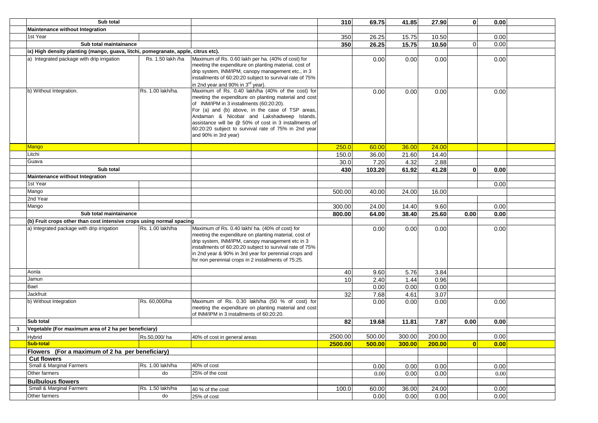|              | Sub total                                                                         |                   |                                                                                                                                                                                                                                                                                                                                                                                                   | 310     | 69.75  | 41.85  | 27.90  | $\mathbf{0}$   | 0.00 |  |
|--------------|-----------------------------------------------------------------------------------|-------------------|---------------------------------------------------------------------------------------------------------------------------------------------------------------------------------------------------------------------------------------------------------------------------------------------------------------------------------------------------------------------------------------------------|---------|--------|--------|--------|----------------|------|--|
|              | <b>Maintenance without Integration</b>                                            |                   |                                                                                                                                                                                                                                                                                                                                                                                                   |         |        |        |        |                |      |  |
|              | 1st Year                                                                          |                   |                                                                                                                                                                                                                                                                                                                                                                                                   | 350     | 26.25  | 15.75  | 10.50  |                | 0.00 |  |
|              | Sub total maintainance                                                            |                   |                                                                                                                                                                                                                                                                                                                                                                                                   | 350     | 26.25  | 15.75  | 10.50  | $\overline{0}$ | 0.00 |  |
|              | ix) High density planting (mango, guava, litchi, pomegranate, apple, citrus etc). |                   |                                                                                                                                                                                                                                                                                                                                                                                                   |         |        |        |        |                |      |  |
|              | a) Integrated package with drip irrigation                                        | Rs. 1.50 lakh /ha | Maximum of Rs. 0.60 lakh per ha. (40% of cost) for<br>meeting the expenditure on planting material, cost of<br>drip system, INM/IPM, canopy management etc., in 3<br>installments of 60:20:20 subject to survival rate of 75%<br>in 2nd year and 90% in 3 <sup>rd</sup> year).                                                                                                                    |         | 0.00   | 0.00   | 0.00   |                | 0.00 |  |
|              | b) Without Integration.                                                           | Rs. 1.00 lakh/ha. | Maximum of Rs. 0.40 lakh/ha (40% of the cost) for<br>meeting the expenditure on planting material and cost<br>of INM/IPM in 3 installments (60:20:20).<br>For (a) and (b) above, in the case of TSP areas,<br>Andaman & Nicobar and Lakshadweep Islands,<br>assistance will be @ 50% of cost in 3 installments of<br>60:20:20 subject to survival rate of 75% in 2nd year<br>and 90% in 3rd year) |         | 0.00   | 0.00   | 0.00   |                | 0.00 |  |
|              | <b>Mango</b>                                                                      |                   |                                                                                                                                                                                                                                                                                                                                                                                                   | 250.0   | 60.00  | 36.00  | 24.00  |                |      |  |
|              | Litchi                                                                            |                   |                                                                                                                                                                                                                                                                                                                                                                                                   | 150.0   | 36.00  | 21.60  | 14.40  |                |      |  |
|              | Guava                                                                             |                   |                                                                                                                                                                                                                                                                                                                                                                                                   | 30.0    | 7.20   | 4.32   | 2.88   |                |      |  |
|              | Sub total                                                                         |                   |                                                                                                                                                                                                                                                                                                                                                                                                   | 430     | 103.20 | 61.92  | 41.28  | $\mathbf{0}$   | 0.00 |  |
|              | Maintenance without Integration                                                   |                   |                                                                                                                                                                                                                                                                                                                                                                                                   |         |        |        |        |                |      |  |
|              | 1st Year                                                                          |                   |                                                                                                                                                                                                                                                                                                                                                                                                   |         |        |        |        |                | 0.00 |  |
|              | Mango                                                                             |                   |                                                                                                                                                                                                                                                                                                                                                                                                   | 500.00  | 40.00  | 24.00  | 16.00  |                |      |  |
|              | 2nd Year                                                                          |                   |                                                                                                                                                                                                                                                                                                                                                                                                   |         |        |        |        |                |      |  |
|              | Mango                                                                             |                   |                                                                                                                                                                                                                                                                                                                                                                                                   | 300.00  | 24.00  | 14.40  | 9.60   |                | 0.00 |  |
|              | Sub total maintainance                                                            |                   |                                                                                                                                                                                                                                                                                                                                                                                                   | 800.00  | 64.00  | 38.40  | 25.60  | 0.00           | 0.00 |  |
|              | (b) Fruit crops other than cost intensive crops using normal spacing              |                   |                                                                                                                                                                                                                                                                                                                                                                                                   |         |        |        |        |                |      |  |
|              | a) Integrated package with drip irrigation                                        | Rs. 1.00 lakh/ha  | Maximum of Rs. 0.40 lakh/ ha. (40% of cost) for<br>meeting the expenditure on planting material, cost of<br>drip system, INM/IPM, canopy management etc in 3<br>installments of 60:20:20 subject to survival rate of 75%<br>in 2nd year & 90% in 3rd year for perennial crops and<br>for non perennial crops in 2 installments of 75:25.                                                          |         | 0.00   | 0.00   | 0.00   |                | 0.00 |  |
|              | Aonla                                                                             |                   |                                                                                                                                                                                                                                                                                                                                                                                                   | 40      | 9.60   | 5.76   | 3.84   |                |      |  |
|              | Jamun                                                                             |                   |                                                                                                                                                                                                                                                                                                                                                                                                   | 10      | 2.40   | 1.44   | 0.96   |                |      |  |
|              | Bael                                                                              |                   |                                                                                                                                                                                                                                                                                                                                                                                                   |         | 0.00   | 0.00   | 0.00   |                |      |  |
|              | Jackfruit                                                                         |                   |                                                                                                                                                                                                                                                                                                                                                                                                   | 32      | 7.68   | 4.61   | 3.07   |                |      |  |
|              | b) Without Integration                                                            | Rs. 60,000/ha     | Maximum of Rs. 0.30 lakh/ha (50 % of cost) for<br>meeting the expenditure on planting material and cost<br>of INM/IPM in 3 installments of 60:20:20.                                                                                                                                                                                                                                              |         | 0.00   | 0.00   | 0.00   |                | 0.00 |  |
|              | Sub total                                                                         |                   |                                                                                                                                                                                                                                                                                                                                                                                                   | 82      | 19.68  | 11.81  | 7.87   | 0.00           | 0.00 |  |
| $\mathbf{3}$ | Vegetable (For maximum area of 2 ha per beneficiary)                              |                   |                                                                                                                                                                                                                                                                                                                                                                                                   |         |        |        |        |                |      |  |
|              | Hybrid <b>Executive Service Service Service Service</b>                           | Rs.50,000/ha      | 40% of cost in general areas                                                                                                                                                                                                                                                                                                                                                                      | 2500.00 | 500.00 | 300.00 | 200.00 |                | 0.00 |  |
|              | <b>Sub-total</b>                                                                  |                   |                                                                                                                                                                                                                                                                                                                                                                                                   | 2500.00 | 500.00 | 300.00 | 200.00 | $\overline{0}$ | 0.00 |  |
|              | Flowers (For a maximum of 2 ha per beneficiary)                                   |                   |                                                                                                                                                                                                                                                                                                                                                                                                   |         |        |        |        |                |      |  |
|              | <b>Cut flowers</b>                                                                |                   |                                                                                                                                                                                                                                                                                                                                                                                                   |         |        |        |        |                |      |  |
|              | Small & Marginal Farmers                                                          | Rs. 1.00 lakh/ha  | 40% of cost                                                                                                                                                                                                                                                                                                                                                                                       |         | 0.00   | 0.00   | 0.00   |                | 0.00 |  |
|              | Other farmers                                                                     | do                | 25% of the cost                                                                                                                                                                                                                                                                                                                                                                                   |         | 0.00   | 0.00   | 0.00   |                | 0.00 |  |
|              | <b>Bulbulous flowers</b>                                                          |                   |                                                                                                                                                                                                                                                                                                                                                                                                   |         |        |        |        |                |      |  |
|              | Small & Marginal Farmers                                                          | Rs. 1.50 lakh/ha  | 40 % of the cost                                                                                                                                                                                                                                                                                                                                                                                  | 100.0   | 60.00  | 36.00  | 24.00  |                | 0.00 |  |
|              | Other farmers                                                                     | do                |                                                                                                                                                                                                                                                                                                                                                                                                   |         | 0.00   | 0.00   | 0.00   |                | 0.00 |  |
|              |                                                                                   |                   | 25% of cost                                                                                                                                                                                                                                                                                                                                                                                       |         |        |        |        |                |      |  |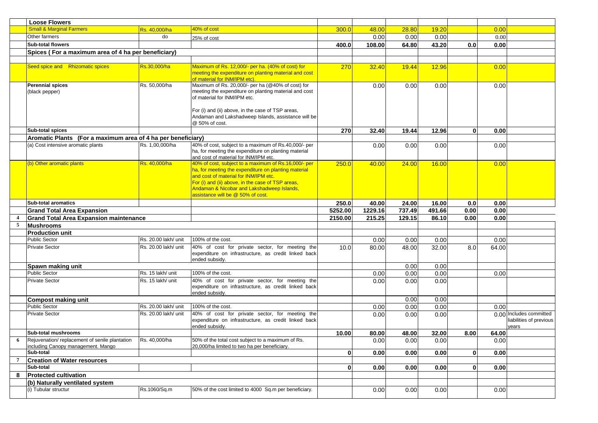|   | <b>Loose Flowers</b>                                              |                      |                                                                                                         |                    |                   |                  |                 |                  |              |                         |
|---|-------------------------------------------------------------------|----------------------|---------------------------------------------------------------------------------------------------------|--------------------|-------------------|------------------|-----------------|------------------|--------------|-------------------------|
|   | <b>Small &amp; Marginal Farmers</b>                               | Rs. 40,000/ha        | 40% of cost                                                                                             | 300.0              | 48.00             | 28.80            | 19.20           |                  | 0.00         |                         |
|   | Other farmers                                                     | do                   | 25% of cost                                                                                             |                    | 0.00              | 0.00             | 0.00            |                  | 0.00         |                         |
|   | <b>Sub-total flowers</b>                                          |                      |                                                                                                         | 400.0              | 108.00            | 64.80            | 43.20           | 0.0 <sub>l</sub> | 0.00         |                         |
|   | Spices (For a maximum area of 4 ha per beneficiary)               |                      |                                                                                                         |                    |                   |                  |                 |                  |              |                         |
|   |                                                                   |                      |                                                                                                         |                    |                   |                  |                 |                  |              |                         |
|   | Seed spice and Rhizomatic spices                                  | Rs.30,000/ha         | Maximum of Rs. 12,000/- per ha. (40% of cost) for                                                       | 270                | 32.40             | 19.44            | 12.96           |                  | 0.00         |                         |
|   |                                                                   |                      | meeting the expenditure on planting material and cost<br>of material for INM/IPM etc).                  |                    |                   |                  |                 |                  |              |                         |
|   | Perennial spices                                                  | Rs. 50,000/ha        | Maximum of Rs. 20,000/- per ha (@40% of cost) for                                                       |                    | 0.00              | 0.00             | 0.00            |                  | 0.00         |                         |
|   | (black pepper)                                                    |                      | meeting the expenditure on planting material and cost                                                   |                    |                   |                  |                 |                  |              |                         |
|   |                                                                   |                      | of material for INM/IPM etc.                                                                            |                    |                   |                  |                 |                  |              |                         |
|   |                                                                   |                      | For (i) and (ii) above, in the case of TSP areas,                                                       |                    |                   |                  |                 |                  |              |                         |
|   |                                                                   |                      | Andaman and Lakshadweep Islands, assistance will be                                                     |                    |                   |                  |                 |                  |              |                         |
|   |                                                                   |                      | @ 50% of cost.                                                                                          |                    |                   |                  |                 |                  |              |                         |
|   | Sub-total spices                                                  |                      |                                                                                                         | 270                | 32.40             | 19.44            | 12.96           | $\mathbf{0}$     | 0.00         |                         |
|   | Aromatic Plants (For a maximum area of 4 ha per beneficiary)      |                      |                                                                                                         |                    |                   |                  |                 |                  |              |                         |
|   | (a) Cost intensive aromatic plants                                | Rs. 1,00,000/ha      | 40% of cost, subject to a maximum of Rs.40,000/- per                                                    |                    | 0.00              | 0.00             | 0.00            |                  | 0.00         |                         |
|   |                                                                   |                      | ha, for meeting the expenditure on planting material                                                    |                    |                   |                  |                 |                  |              |                         |
|   | (b) Other aromatic plants                                         | Rs. 40.000/ha        | and cost of material for INM/IPM etc.<br>40% of cost, subject to a maximum of Rs.16,000/- per           | 250.0              | 40.00             | 24.00            | 16.00           |                  | 0.00         |                         |
|   |                                                                   |                      | ha, for meeting the expenditure on planting material                                                    |                    |                   |                  |                 |                  |              |                         |
|   |                                                                   |                      | and cost of material for INM/IPM etc.                                                                   |                    |                   |                  |                 |                  |              |                         |
|   |                                                                   |                      | For (i) and (ii) above, in the case of TSP areas,                                                       |                    |                   |                  |                 |                  |              |                         |
|   |                                                                   |                      | Andaman & Nicobar and Lakshadweep Islands,                                                              |                    |                   |                  |                 |                  |              |                         |
|   |                                                                   |                      | assistance will be @ 50% of cost.                                                                       |                    |                   |                  |                 |                  |              |                         |
|   | <b>Sub-total aromatics</b>                                        |                      |                                                                                                         | 250.0              | 40.00             | 24.00            | 16.00           | 0.0 <sub>1</sub> | 0.00         |                         |
|   | <b>Grand Total Area Expansion</b>                                 |                      |                                                                                                         | 5252.00<br>2150.00 | 1229.16<br>215.25 | 737.49<br>129.15 | 491.66<br>86.10 | 0.00<br>0.00     | 0.00<br>0.00 |                         |
| 5 | <b>Grand Total Area Expansion maintenance</b><br><b>Mushrooms</b> |                      |                                                                                                         |                    |                   |                  |                 |                  |              |                         |
|   | <b>Production unit</b>                                            |                      |                                                                                                         |                    |                   |                  |                 |                  |              |                         |
|   | <b>Public Sector</b>                                              | Rs. 20.00 lakh/ unit | 100% of the cost.                                                                                       |                    | 0.00              | 0.00             | 0.00            |                  | 0.00         |                         |
|   | <b>Private Sector</b>                                             | Rs. 20.00 lakh/ unit | 40% of cost for private sector, for meeting the                                                         | 10.0               | 80.00             | 48.00            | 32.00           | 8.0              | 64.00        |                         |
|   |                                                                   |                      | expenditure on infrastructure, as credit linked back                                                    |                    |                   |                  |                 |                  |              |                         |
|   |                                                                   |                      | ended subsidv.                                                                                          |                    |                   |                  |                 |                  |              |                         |
|   | Spawn making unit                                                 |                      |                                                                                                         |                    |                   | 0.00             | 0.00            |                  |              |                         |
|   | <b>Public Sector</b>                                              | Rs. 15 lakh/ unit    | 100% of the cost.                                                                                       |                    | 0.00              | 0.00             | 0.00            |                  | 0.00         |                         |
|   | <b>Private Sector</b>                                             | Rs. 15 lakh/ unit    | 40% of cost for private sector, for meeting the<br>expenditure on infrastructure, as credit linked back |                    | 0.00              | 0.00             | 0.00            |                  |              |                         |
|   |                                                                   |                      | ended subsidy.                                                                                          |                    |                   |                  |                 |                  |              |                         |
|   | <b>Compost making unit</b>                                        |                      |                                                                                                         |                    |                   | 0.00             | 0.00            |                  |              |                         |
|   | <b>Public Sector</b>                                              | Rs. 20.00 lakh/ unit | 100% of the cost.                                                                                       |                    | 0.00              | 0.00             | 0.00            |                  | 0.00         |                         |
|   | <b>Private Sector</b>                                             | Rs. 20.00 lakh/ unit | 40% of cost for private sector, for meeting the                                                         |                    | 0.00              | 0.00             | 0.00            |                  |              | 0.00 Includes committed |
|   |                                                                   |                      | expenditure on infrastructure, as credit linked back                                                    |                    |                   |                  |                 |                  |              | liabilities of previous |
|   | Sub-total mushrooms                                               |                      | ended subsidv.                                                                                          | 10.00              | 80.00             | 48.00            | 32.00           | 8.00             | 64.00        | years                   |
| 6 | Rejuvenation/replacement of senile plantation                     | Rs. 40,000/ha        | 50% of the total cost subject to a maximum of Rs.                                                       |                    | 0.00              | 0.00             | 0.00            |                  | 0.00         |                         |
|   | including Canopy management. Mango                                |                      | 20,000/ha limited to two ha per beneficiary.                                                            |                    |                   |                  |                 |                  |              |                         |
|   | Sub-total                                                         |                      |                                                                                                         | $\mathbf{0}$       | 0.00              | 0.00             | 0.00            | $\mathbf{0}$     | 0.00         |                         |
| 7 | <b>Creation of Water resources</b>                                |                      |                                                                                                         |                    |                   |                  |                 |                  |              |                         |
|   | Sub-total                                                         |                      |                                                                                                         | $\mathbf{0}$       | 0.00              | 0.00             | 0.00            | $\mathbf{0}$     | 0.00         |                         |
| 8 | <b>Protected cultivation</b>                                      |                      |                                                                                                         |                    |                   |                  |                 |                  |              |                         |
|   | (b) Naturally ventilated system                                   |                      |                                                                                                         |                    |                   |                  |                 |                  |              |                         |
|   | (i) Tubular structur                                              | Rs.1060/Sq.m         | 50% of the cost limited to 4000 Sq.m per beneficiary.                                                   |                    | 0.00              | 0.00             | 0.00            |                  | 0.00         |                         |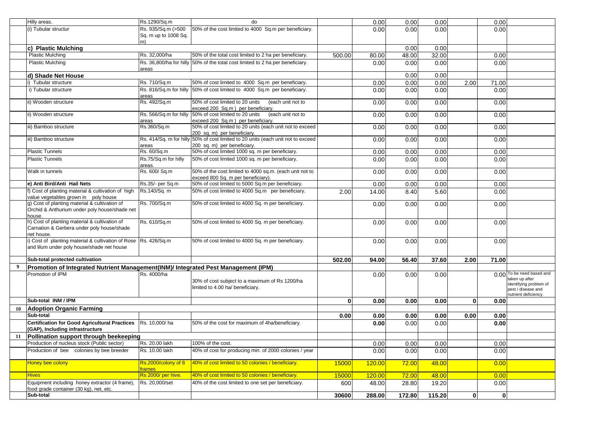|    | Hilly areas.                                                                                                  | Rs.1290/Sq.m                    | do                                                                                                                                       |              | 0.00   | 0.00   | 0.00          |              | 0.00         |                                                                                                                     |
|----|---------------------------------------------------------------------------------------------------------------|---------------------------------|------------------------------------------------------------------------------------------------------------------------------------------|--------------|--------|--------|---------------|--------------|--------------|---------------------------------------------------------------------------------------------------------------------|
|    | (i) Tubular structur                                                                                          | Rs. 935/Sq.m (>500              | 50% of the cost limited to 4000 Sq.m per beneficiary.                                                                                    |              | 0.00   | 0.00   | 0.00          |              | 0.00         |                                                                                                                     |
|    |                                                                                                               | Sq. m up to 1008 Sq.            |                                                                                                                                          |              |        |        |               |              |              |                                                                                                                     |
|    |                                                                                                               | m)                              |                                                                                                                                          |              |        |        |               |              |              |                                                                                                                     |
|    | c) Plastic Mulching<br><b>Plastic Mulching</b>                                                                | Rs. 32,000/ha                   |                                                                                                                                          |              |        | 0.00   | 0.00          |              |              |                                                                                                                     |
|    | <b>Plastic Mulching</b>                                                                                       |                                 | 50% of the total cost limited to 2 ha per beneficiary.<br>Rs. 36,800/ha for hilly 50% of the total cost limited to 2 ha per beneficiary. | 500.00       | 80.00  | 48.00  | 32.00<br>0.00 |              | 0.00<br>0.00 |                                                                                                                     |
|    |                                                                                                               | areas                           |                                                                                                                                          |              | 0.00   | 0.00   |               |              |              |                                                                                                                     |
|    | d) Shade Net House                                                                                            |                                 |                                                                                                                                          |              |        | 0.00   | 0.00          |              |              |                                                                                                                     |
|    | Tubular structure                                                                                             | Rs. 710/Sq.m                    | 50% of cost limited to 4000 Sq.m per beneficiary.                                                                                        |              | 0.00   | 0.00   | 0.00          | 2.00         | 71.00        |                                                                                                                     |
|    | i) Tubular structure                                                                                          | areas                           | Rs. 816/Sq.m for hilly 50% of cost limited to 4000 Sq.m per beneficiary.                                                                 |              | 0.00   | 0.00   | 0.00          |              | 0.00         |                                                                                                                     |
|    | ii) Wooden structure                                                                                          | Rs. 492/Sq.m                    | 50% of cost limited to 20 units<br>(each unit not to<br>exceed 200 Sq.m) per beneficiary.                                                |              | 0.00   | 0.00   | 0.00          |              | 0.00         |                                                                                                                     |
|    | i) Wooden structure                                                                                           | Rs. 566/Sq.m for hilly<br>areas | 50% of cost limited to 20 units<br>(each unit not to<br>exceed 200 Sq.m) per beneficiary.                                                |              | 0.00   | 0.00   | 0.00          |              | 0.00         |                                                                                                                     |
|    | ii) Bamboo structure                                                                                          | Rs.360/Sq.m                     | 50% of cost limited to 20 units (each unit not to exceed<br>200 sq. m) per beneficiary.                                                  |              | 0.00   | 0.00   | 0.00          |              | 0.00         |                                                                                                                     |
|    | ii) Bamboo structure                                                                                          | areas                           | Rs. 414/Sq. m for hilly 50% of cost limited to 20 units (each unit not to exceed<br>200 sq. m) per beneficiary.                          |              | 0.00   | 0.00   | 0.00          |              | 0.00         |                                                                                                                     |
|    | <b>Plastic Tunnels</b>                                                                                        | Rs. 60/Sq.m                     | 50% of cost limited 1000 sq. m per beneficiary.                                                                                          |              | 0.00   | 0.00   | 0.00          |              | 0.00         |                                                                                                                     |
|    | <b>Plastic Tunnels</b>                                                                                        | Rs.75/Sq.m for hilly<br>areas.  | 50% of cost limited 1000 sq. m per beneficiary.                                                                                          |              | 0.00   | 0.00   | 0.00          |              | 0.00         |                                                                                                                     |
|    | Walk in tunnels                                                                                               | Rs. 600/ Sq.m                   | 50% of the cost limited to 4000 sq.m. (each unit not to<br>exceed 800 Sq. m per beneficiary).                                            |              | 0.00   | 0.00   | 0.00          |              | 0.00         |                                                                                                                     |
|    | e) Anti Bird/Anti Hail Nets                                                                                   | Rs.35/- per Sq.m                | 50% of cost limited to 5000 Sq.m per beneficiary.                                                                                        |              | 0.00   | 0.00   | 0.00          |              | 0.00         |                                                                                                                     |
|    | f) Cost of planting material & cultivation of high<br>value vegetables grown in poly house                    | Rs.140/Sq. m                    | 50% of cost limited to 4000 Sq.m per beneficiary.                                                                                        | 2.00         | 14.00  | 8.40   | 5.60          |              | 0.00         |                                                                                                                     |
|    | g) Cost of planting material & cultivation of<br>Orchid & Anthurium under poly house/shade net<br>house.      | Rs. 700/Sq.m                    | 50% of cost limited to 4000 Sq. m per beneficiary.                                                                                       |              | 0.00   | 0.00   | 0.00          |              | 0.00         |                                                                                                                     |
|    | h) Cost of planting material & cultivation of<br>Carnation & Gerbera under poly house/shade<br>net house.     | Rs. 610/Sq.m                    | 50% of cost limited to 4000 Sq. m per beneficiary.                                                                                       |              | 0.00   | 0.00   | 0.00          |              | 0.00         |                                                                                                                     |
|    | i) Cost of planting material & cultivation of Rose Rs. 426/Sq.m<br>and lilum under poly house/shade net house |                                 | 50% of cost limited to 4000 Sq. m per beneficiary.                                                                                       |              | 0.00   | 0.00   | 0.00          |              | 0.00         |                                                                                                                     |
|    | Sub-total protected cultivation                                                                               |                                 |                                                                                                                                          | 502.00       | 94.00  | 56.40  | 37.60         | 2.00         | 71.00        |                                                                                                                     |
| 9  | Promotion of Integrated Nutrient Management(INM)/ Integrated Pest Management (IPM)                            |                                 |                                                                                                                                          |              |        |        |               |              |              |                                                                                                                     |
|    | Promotion of IPM                                                                                              | Rs. 4000/ha                     | 30% of cost subject to a maximum of Rs 1200/ha<br>limited to 4.00 ha/ beneficiary.                                                       |              | 0.00   | 0.00   | 0.00          |              |              | 0.00 To be need based and<br>taken up after<br>identifying problem of<br>pest / disease and<br>nutrient deficiency. |
|    | Sub-total INM / IPM                                                                                           |                                 |                                                                                                                                          | $\mathbf{0}$ | 0.00   | 0.00   | 0.00          | 0            | 0.00         |                                                                                                                     |
| 10 | <b>Adoption Organic Farming</b>                                                                               |                                 |                                                                                                                                          |              |        |        |               |              |              |                                                                                                                     |
|    | Sub-total                                                                                                     |                                 |                                                                                                                                          | 0.00         | 0.00   | 0.00   | 0.00          | 0.00         | 0.00         |                                                                                                                     |
|    | Certification for Good Agricultural Practices   Rs. 10,000/ ha<br>(GAP), Including infrastructure             |                                 | 50% of the cost for maximum of 4ha/beneficiary.                                                                                          |              | 0.00   | 0.00   | 0.00          |              | 0.00         |                                                                                                                     |
|    | 11 Pollination support through beekeeping                                                                     |                                 |                                                                                                                                          |              |        |        |               |              |              |                                                                                                                     |
|    | Production of nucleus stock (Public sector)                                                                   | Rs. 20.00 lakh                  | 100% of the cost.                                                                                                                        |              | 0.00   | 0.00   | 0.00          |              | 0.00         |                                                                                                                     |
|    | Production of bee colonies by bee breeder                                                                     | Rs. 10.00 lakh                  | 40% of cost for producing min. of 2000 colonies / year                                                                                   |              | 0.00   | 0.00   | 0.00          |              | 0.00         |                                                                                                                     |
|    | Honey bee colony                                                                                              | Rs.2000/colony of 8<br>frames   | 40% of cost limited to 50 colonies / beneficiary.                                                                                        | 15000        | 120.00 | 72.00  | 48.00         |              | 0.00         |                                                                                                                     |
|    | <b>Hives</b>                                                                                                  | Rs 2000/ per hive.              | 40% of cost limited to 50 colonies / beneficiary.                                                                                        | 15000        | 120.00 | 72.00  | 48.00         |              | 0.00         |                                                                                                                     |
|    | Equipment including honey extractor (4 frame),<br>food grade container (30 kg), net, etc.                     | Rs. 20,000/set                  | 40% of the cost limited to one set per beneficiary.                                                                                      | 600          | 48.00  | 28.80  | 19.20         |              | 0.00         |                                                                                                                     |
|    | Sub-total                                                                                                     |                                 |                                                                                                                                          | 30600        | 288.00 | 172.80 | 115.20        | $\mathbf{0}$ | $\mathbf{0}$ |                                                                                                                     |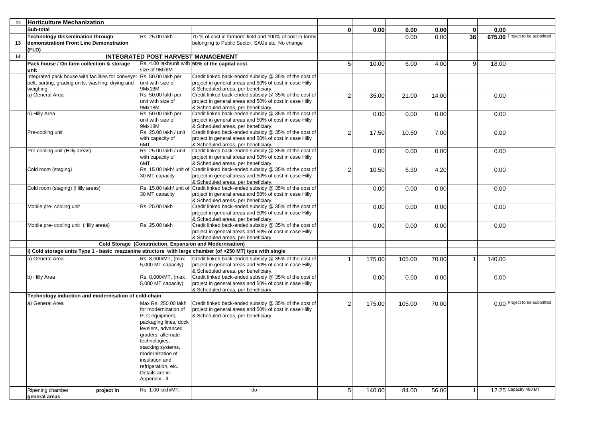| 12 | <b>Horticulture Mechanization</b>                                                                         |                                           |                                                                                                                      |                |        |        |       |          |        |                                |
|----|-----------------------------------------------------------------------------------------------------------|-------------------------------------------|----------------------------------------------------------------------------------------------------------------------|----------------|--------|--------|-------|----------|--------|--------------------------------|
|    | Sub-total                                                                                                 |                                           |                                                                                                                      | $\mathbf{0}$   | 0.00   | 0.00   | 0.00  | $\bf{0}$ | 0.00   |                                |
|    | <b>Technology Dissemination through</b>                                                                   | Rs. 25.00 lakh                            | 75 % of cost in farmers' field and 100% of cost in farms                                                             |                |        | 0.00   | 0.00  | 36       |        | 675.00 Project to be submitted |
| 13 | demonstration/ Front Line Demonstration                                                                   |                                           | belonging to Public Sector, SAUs etc. No change                                                                      |                |        |        |       |          |        |                                |
|    | (FLD)                                                                                                     |                                           |                                                                                                                      |                |        |        |       |          |        |                                |
| 14 |                                                                                                           | <b>INTEGRATED POST HARVEST MANAGEMENT</b> |                                                                                                                      |                |        |        |       |          |        |                                |
|    | Pack house / On farm collection & storage                                                                 |                                           | Rs. 4.00 lakh/unit with 50% of the capital cost.                                                                     | 5 <sub>l</sub> | 10.00  | 6.00   | 4.00  | 9        | 18.00  |                                |
|    | unit                                                                                                      | size of 9Mx6M                             |                                                                                                                      |                |        |        |       |          |        |                                |
|    | Integrated pack house with facilities for conveyer Rs. 50.00 lakh per                                     |                                           | Credit linked back-ended subsidy @ 35% of the cost of                                                                |                |        |        |       |          |        |                                |
|    | belt, sorting, grading units, washing, drying and                                                         | unit with size of                         | project in general areas and 50% of cost in case Hilly                                                               |                |        |        |       |          |        |                                |
|    | weighing.                                                                                                 | 9Mx18M                                    | & Scheduled areas, per beneficiary.                                                                                  |                |        |        |       |          |        |                                |
|    | a) General Area                                                                                           | Rs. 50.00 lakh per                        | Credit linked back-ended subsidy @ 35% of the cost of                                                                | $\overline{2}$ | 35.00  | 21.00  | 14.00 |          | 0.00   |                                |
|    |                                                                                                           | unit with size of                         | project in general areas and 50% of cost in case Hilly                                                               |                |        |        |       |          |        |                                |
|    |                                                                                                           | 9Mx18M                                    | & Scheduled areas, per beneficiary.<br>Credit linked back-ended subsidy @ 35% of the cost of                         |                |        |        |       |          |        |                                |
|    | b) Hilly Area                                                                                             | Rs. 50.00 lakh per<br>unit with size of   | project in general areas and 50% of cost in case Hilly                                                               |                | 0.00   | 0.00   | 0.00  |          | 0.00   |                                |
|    |                                                                                                           | 9Mx18M                                    | & Scheduled areas, per beneficiary.                                                                                  |                |        |        |       |          |        |                                |
|    | Pre-cooling unit                                                                                          | Rs. 25.00 lakh / unit                     | Credit linked back-ended subsidy @ 35% of the cost of                                                                | $\overline{2}$ | 17.50  | 10.50  | 7.00  |          | 0.00   |                                |
|    |                                                                                                           | with capacity of                          | project in general areas and 50% of cost in case Hilly                                                               |                |        |        |       |          |        |                                |
|    |                                                                                                           | 6MT.                                      | & Scheduled areas, per beneficiary.                                                                                  |                |        |        |       |          |        |                                |
|    | Pre-cooling unit (Hilly areas)                                                                            | Rs. 25.00 lakh / unit                     | Credit linked back-ended subsidy @ 35% of the cost of                                                                |                | 0.00   | 0.00   | 0.00  |          | 0.00   |                                |
|    |                                                                                                           | with capacity of                          | project in general areas and 50% of cost in case Hilly                                                               |                |        |        |       |          |        |                                |
|    |                                                                                                           | 6MT.                                      | & Scheduled areas, per beneficiary.                                                                                  |                |        |        |       |          |        |                                |
|    | Cold room (staging)                                                                                       | Rs. 15.00 lakh/ unit of                   | Credit linked back-ended subsidy @ 35% of the cost of                                                                | $\overline{2}$ | 10.50  | 6.30   | 4.20  |          | 0.00   |                                |
|    |                                                                                                           | 30 MT capacity                            | project in general areas and 50% of cost in case Hilly                                                               |                |        |        |       |          |        |                                |
|    |                                                                                                           |                                           | & Scheduled areas, per beneficiary.<br>Rs. 15.00 lakh/ unit of Credit linked back-ended subsidy @ 35% of the cost of |                |        |        |       |          |        |                                |
|    | Cold room (staging) (Hilly areas)                                                                         | 30 MT capacity                            | project in general areas and 50% of cost in case Hilly                                                               |                | 0.00   | 0.00   | 0.00  |          | 0.00   |                                |
|    |                                                                                                           |                                           | & Scheduled areas, per beneficiary.                                                                                  |                |        |        |       |          |        |                                |
|    | Mobile pre- cooling unit                                                                                  | Rs. 25.00 lakh                            | Credit linked back-ended subsidy @ 35% of the cost of                                                                |                | 0.00   | 0.00   | 0.00  |          | 0.00   |                                |
|    |                                                                                                           |                                           | project in general areas and 50% of cost in case Hilly                                                               |                |        |        |       |          |        |                                |
|    |                                                                                                           |                                           | & Scheduled areas, per beneficiary.                                                                                  |                |        |        |       |          |        |                                |
|    | Mobile pre- cooling unit (Hilly areas)                                                                    | Rs. 25.00 lakh                            | Credit linked back-ended subsidy @ 35% of the cost of                                                                |                | 0.00   | 0.00   | 0.00  |          | 0.00   |                                |
|    |                                                                                                           |                                           | project in general areas and 50% of cost in case Hilly                                                               |                |        |        |       |          |        |                                |
|    |                                                                                                           |                                           | & Scheduled areas, per beneficiary.                                                                                  |                |        |        |       |          |        |                                |
|    |                                                                                                           |                                           | Cold Storage (Construction, Expansion and Modernisation)                                                             |                |        |        |       |          |        |                                |
|    | i) Cold storage units Type 1 - basic mezzanine structure with large chamber (of >250 MT) type with single |                                           |                                                                                                                      |                |        |        |       |          |        |                                |
|    | a) General Area                                                                                           | Rs. 8,000/MT, (max                        | Credit linked back-ended subsidy @ 35% of the cost of                                                                |                | 175.00 | 105.00 | 70.00 | 1        | 140.00 |                                |
|    |                                                                                                           | 5,000 MT capacity)                        | project in general areas and 50% of cost in case Hilly                                                               |                |        |        |       |          |        |                                |
|    |                                                                                                           |                                           | & Scheduled areas, per beneficiary.                                                                                  |                |        |        |       |          |        |                                |
|    | b) Hilly Area                                                                                             | Rs. 8,000/MT, (max<br>5,000 MT capacity)  | Credit linked back-ended subsidy @ 35% of the cost of<br>project in general areas and 50% of cost in case Hilly      |                | 0.00   | 0.00   | 0.00  |          | 0.00   |                                |
|    |                                                                                                           |                                           | & Scheduled areas, per beneficiary.                                                                                  |                |        |        |       |          |        |                                |
|    | Technology induction and modernisation of cold-chain                                                      |                                           |                                                                                                                      |                |        |        |       |          |        |                                |
|    | a) General Area                                                                                           | Max Rs. 250.00 lakh                       | Credit linked back-ended subsidy @ 35% of the cost of                                                                | $\overline{2}$ | 175.00 | 105.00 | 70.00 |          |        | 0.00 Project to be submitted   |
|    |                                                                                                           | for modernization of                      | project in general areas and 50% of cost in case Hilly                                                               |                |        |        |       |          |        |                                |
|    |                                                                                                           | PLC equipment,                            | & Scheduled areas, per beneficiary.                                                                                  |                |        |        |       |          |        |                                |
|    |                                                                                                           | packaging lines, dock                     |                                                                                                                      |                |        |        |       |          |        |                                |
|    |                                                                                                           | levelers, advanced                        |                                                                                                                      |                |        |        |       |          |        |                                |
|    |                                                                                                           | graders, alternate                        |                                                                                                                      |                |        |        |       |          |        |                                |
|    |                                                                                                           | technologies,                             |                                                                                                                      |                |        |        |       |          |        |                                |
|    |                                                                                                           | stacking systems,                         |                                                                                                                      |                |        |        |       |          |        |                                |
|    |                                                                                                           | modernization of                          |                                                                                                                      |                |        |        |       |          |        |                                |
|    |                                                                                                           | insulation and                            |                                                                                                                      |                |        |        |       |          |        |                                |
|    |                                                                                                           | refrigeration, etc.<br>Details are in     |                                                                                                                      |                |        |        |       |          |        |                                |
|    |                                                                                                           | Appendix-II                               |                                                                                                                      |                |        |        |       |          |        |                                |
|    |                                                                                                           |                                           |                                                                                                                      |                |        |        |       |          |        |                                |
|    | Ripening chamber<br>project in                                                                            | Rs. 1.00 lakh/MT.                         | -do-                                                                                                                 | 5 <sub>5</sub> | 140.00 | 84.00  | 56.00 | 1        |        | 12.25 Capacity 400 MT          |
|    | general areas                                                                                             |                                           |                                                                                                                      |                |        |        |       |          |        |                                |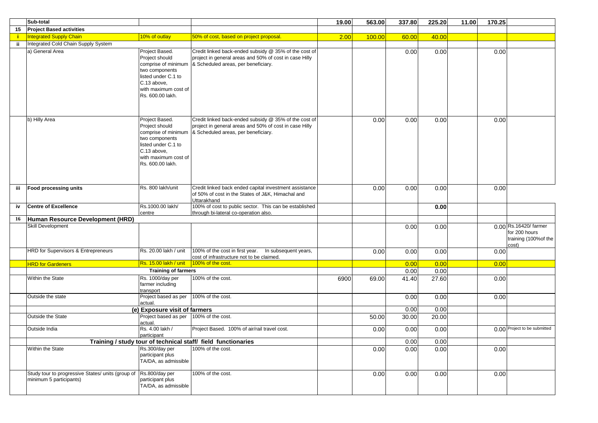|     | Sub-total                                                                    |                                                                                                                                                             |                                                                                                                                                        | 19.00 | 563.00 | 337.80 | 225.20 | 11.00 | 170.25 |                                                                          |
|-----|------------------------------------------------------------------------------|-------------------------------------------------------------------------------------------------------------------------------------------------------------|--------------------------------------------------------------------------------------------------------------------------------------------------------|-------|--------|--------|--------|-------|--------|--------------------------------------------------------------------------|
| 15  | <b>Project Based activities</b>                                              |                                                                                                                                                             |                                                                                                                                                        |       |        |        |        |       |        |                                                                          |
|     | <b>Integrated Supply Chain</b>                                               | 10% of outlay                                                                                                                                               | 50% of cost, based on project proposal.                                                                                                                | 2.00  | 100.00 | 60.00  | 40.00  |       |        |                                                                          |
| jj. | Integrated Cold Chain Supply System                                          |                                                                                                                                                             |                                                                                                                                                        |       |        |        |        |       |        |                                                                          |
|     | a) General Area                                                              | Project Based.<br>Project should<br>comprise of minimum<br>two components<br>listed under C.1 to<br>C.13 above,<br>with maximum cost of<br>Rs. 600.00 lakh. | Credit linked back-ended subsidy @ 35% of the cost of<br>project in general areas and 50% of cost in case Hilly<br>& Scheduled areas, per beneficiary. |       |        | 0.00   | 0.00   |       | 0.00   |                                                                          |
|     | b) Hilly Area                                                                | Project Based.<br>Project should<br>comprise of minimum<br>two components<br>listed under C.1 to<br>C.13 above,<br>with maximum cost of<br>Rs. 600.00 lakh. | Credit linked back-ended subsidy @ 35% of the cost of<br>project in general areas and 50% of cost in case Hilly<br>& Scheduled areas, per beneficiary. |       | 0.00   | 0.00   | 0.00   |       | 0.00   |                                                                          |
| iii | <b>Food processing units</b>                                                 | Rs. 800 lakh/unit                                                                                                                                           | Credit linked back ended capital investment assistance                                                                                                 |       | 0.00   | 0.00   | 0.00   |       | 0.00   |                                                                          |
|     |                                                                              |                                                                                                                                                             | of 50% of cost in the States of J&K, Himachal and<br>Uttarakhand                                                                                       |       |        |        |        |       |        |                                                                          |
| iv  | <b>Centre of Excellence</b>                                                  | Rs.1000.00 lakh/                                                                                                                                            | 100% of cost to public sector. This can be established                                                                                                 |       |        |        | 0.00   |       |        |                                                                          |
|     |                                                                              | centre                                                                                                                                                      | through bi-lateral co-operation also.                                                                                                                  |       |        |        |        |       |        |                                                                          |
| 16  | Human Resource Development (HRD)                                             |                                                                                                                                                             |                                                                                                                                                        |       |        |        |        |       |        |                                                                          |
|     | Skill Development                                                            |                                                                                                                                                             |                                                                                                                                                        |       |        | 0.00   | 0.00   |       |        | 0.00 Rs.16420/ farmer<br>for 200 hours<br>training (100% of the<br>cost) |
|     | HRD for Supervisors & Entrepreneurs                                          | Rs. 20.00 lakh / unit                                                                                                                                       | 100% of the cost in first year.  In subsequent years,<br>cost of infrastructure not to be claimed.                                                     |       | 0.00   | 0.00   | 0.00   |       | 0.00   |                                                                          |
|     | <b>HRD for Gardeners</b>                                                     | Rs. 15.00 lakh / unit                                                                                                                                       | 100% of the cost.                                                                                                                                      |       |        | 0.00   | 0.00   |       | 0.00   |                                                                          |
|     |                                                                              | <b>Training of farmers</b>                                                                                                                                  |                                                                                                                                                        |       |        | 0.00   | 0.00   |       |        |                                                                          |
|     | Within the State                                                             | Rs. 1000/day per<br>farmer including<br>transport                                                                                                           | 100% of the cost.                                                                                                                                      | 6900  | 69.00  | 41.40  | 27.60  |       | 0.00   |                                                                          |
|     | Outside the state                                                            | Project based as per<br>actual.                                                                                                                             | 100% of the cost.                                                                                                                                      |       |        | 0.00   | 0.00   |       | 0.00   |                                                                          |
|     |                                                                              | (e) Exposure visit of farmers                                                                                                                               |                                                                                                                                                        |       |        | 0.00   | 0.00   |       |        |                                                                          |
|     | Outside the State                                                            | Project based as per<br>actual.                                                                                                                             | 100% of the cost.                                                                                                                                      |       | 50.00  | 30.00  | 20.00  |       |        |                                                                          |
|     | Outside India                                                                | Rs. 4.00 lakh /<br>participant                                                                                                                              | Project Based. 100% of air/rail travel cost.                                                                                                           |       | 0.00   | 0.00   | 0.00   |       |        | 0.00 Project to be submitted                                             |
|     |                                                                              |                                                                                                                                                             | Training / study tour of technical staff/ field functionaries                                                                                          |       |        | 0.00   | 0.00   |       |        |                                                                          |
|     | Within the State                                                             | Rs.300/day per<br>participant plus<br>TA/DA, as admissible                                                                                                  | 100% of the cost.                                                                                                                                      |       | 0.00   | 0.00   | 0.00   |       | 0.00   |                                                                          |
|     | Study tour to progressive States/ units (group of<br>minimum 5 participants) | Rs.800/day per<br>participant plus<br>TA/DA, as admissible                                                                                                  | 100% of the cost.                                                                                                                                      |       | 0.00   | 0.00   | 0.00   |       | 0.00   |                                                                          |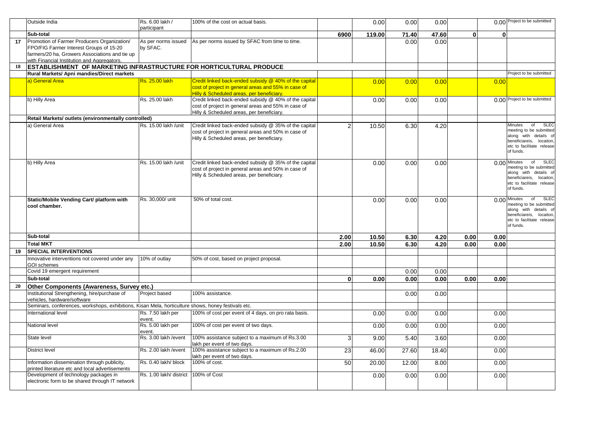|    | Outside India                                                                                                            | Rs. 6.00 lakh /                 | 100% of the cost on actual basis.                                                                |                | 0.00   | 0.00  | 0.00  |          |          | 0.00 Project to be submitted                            |
|----|--------------------------------------------------------------------------------------------------------------------------|---------------------------------|--------------------------------------------------------------------------------------------------|----------------|--------|-------|-------|----------|----------|---------------------------------------------------------|
|    |                                                                                                                          | participant                     |                                                                                                  |                |        |       |       |          |          |                                                         |
|    | Sub-total                                                                                                                |                                 |                                                                                                  | 6900           | 119.00 | 71.40 | 47.60 | $\bf{0}$ | $\Omega$ |                                                         |
| 17 | Promotion of Farmer Producers Organization/<br>FPO/FIG Farmer Interest Groups of 15-20                                   | As per norms issued<br>by SFAC. | As per norms issued by SFAC from time to time.                                                   |                |        | 0.00  | 0.00  |          |          |                                                         |
|    | farmers/20 ha, Growers Associations and tie up                                                                           |                                 |                                                                                                  |                |        |       |       |          |          |                                                         |
| 18 | with Financial Institution and Aggregators.                                                                              |                                 |                                                                                                  |                |        |       |       |          |          |                                                         |
|    | <b>ESTABLISHMENT OF MARKETING INFRASTRUCTURE FOR HORTICULTURAL PRODUCE</b><br>Rural Markets/ Apni mandies/Direct markets |                                 |                                                                                                  |                |        |       |       |          |          | Project to be submitted                                 |
|    | a) General Area                                                                                                          | Rs. 25.00 lakh                  | Credit linked back-ended subsidy @ 40% of the capital                                            |                |        |       |       |          |          |                                                         |
|    |                                                                                                                          |                                 | cost of project in general areas and 55% in case of                                              |                | 0.00   | 0.00  | 0.00  |          | 0.00     |                                                         |
|    |                                                                                                                          |                                 | Hilly & Scheduled areas, per beneficiary.                                                        |                |        |       |       |          |          |                                                         |
|    | b) Hilly Area                                                                                                            | Rs. 25.00 lakh                  | Credit linked back-ended subsidy @ 40% of the capital                                            |                | 0.00   | 0.00  | 0.00  |          |          | 0.00 Project to be submitted                            |
|    |                                                                                                                          |                                 | cost of project in general areas and 55% in case of                                              |                |        |       |       |          |          |                                                         |
|    |                                                                                                                          |                                 | Hilly & Scheduled areas, per beneficiary.                                                        |                |        |       |       |          |          |                                                         |
|    | Retail Markets/ outlets (environmentally controlled)                                                                     |                                 |                                                                                                  |                |        |       |       |          |          |                                                         |
|    | a) General Area                                                                                                          | Rs. 15.00 lakh /unit            | Credit linked back-ended subsidy @ 35% of the capital                                            | $\overline{2}$ | 10.50  | 6.30  | 4.20  |          |          | <b>SLEC</b><br>of<br>Minutes<br>meeting to be submitted |
|    |                                                                                                                          |                                 | cost of project in general areas and 50% in case of<br>Hilly & Scheduled areas, per beneficiary. |                |        |       |       |          |          | along with details of                                   |
|    |                                                                                                                          |                                 |                                                                                                  |                |        |       |       |          |          | beneficiareis, locaiton,                                |
|    |                                                                                                                          |                                 |                                                                                                  |                |        |       |       |          |          | etc to facilitate release<br>of funds.                  |
|    |                                                                                                                          |                                 |                                                                                                  |                |        |       |       |          |          |                                                         |
|    | b) Hilly Area                                                                                                            | Rs. 15.00 lakh /unit            | Credit linked back-ended subsidy @ 35% of the capital                                            |                | 0.00   | 0.00  | 0.00  |          |          | $0.00$ Minutes<br>of<br><b>SLEC</b>                     |
|    |                                                                                                                          |                                 | cost of project in general areas and 50% in case of                                              |                |        |       |       |          |          | meeting to be submitted<br>along with details of        |
|    |                                                                                                                          |                                 | Hilly & Scheduled areas, per beneficiary.                                                        |                |        |       |       |          |          | beneficiareis, locaiton,                                |
|    |                                                                                                                          |                                 |                                                                                                  |                |        |       |       |          |          | etc to facilitate release<br>of funds.                  |
|    |                                                                                                                          |                                 |                                                                                                  |                |        |       |       |          |          |                                                         |
|    | Static/Mobile Vending Cart/ platform with                                                                                | Rs. 30,000/ unit                | 50% of total cost.                                                                               |                | 0.00   | 0.00  | 0.00  |          |          | <b>SLEC</b><br>0.00 Minutes<br>of                       |
|    | cool chamber.                                                                                                            |                                 |                                                                                                  |                |        |       |       |          |          | meeting to be submitted<br>along with details of        |
|    |                                                                                                                          |                                 |                                                                                                  |                |        |       |       |          |          | beneficiareis, locaiton,                                |
|    |                                                                                                                          |                                 |                                                                                                  |                |        |       |       |          |          | etc to facilitate release                               |
|    |                                                                                                                          |                                 |                                                                                                  |                |        |       |       |          |          | of funds.                                               |
|    | Sub-total                                                                                                                |                                 |                                                                                                  | 2.00           | 10.50  | 6.30  | 4.20  | 0.00     | 0.00     |                                                         |
|    | <b>Total MKT</b>                                                                                                         |                                 |                                                                                                  | 2.00           | 10.50  | 6.30  | 4.20  | 0.00     | 0.00     |                                                         |
| 19 | <b>SPECIAL INTERVENTIONS</b>                                                                                             |                                 |                                                                                                  |                |        |       |       |          |          |                                                         |
|    | Innovative interventions not covered under any                                                                           | 10% of outlay                   | 50% of cost, based on project proposal.                                                          |                |        |       |       |          |          |                                                         |
|    | GOI schemes                                                                                                              |                                 |                                                                                                  |                |        |       |       |          |          |                                                         |
|    | Covid 19 emergent requirement                                                                                            |                                 |                                                                                                  |                |        | 0.00  | 0.00  |          |          |                                                         |
|    | Sub-total                                                                                                                |                                 |                                                                                                  | $\bf{0}$       | 0.00   | 0.00  | 0.00  | 0.00     | 0.00     |                                                         |
| 20 | Other Components (Awareness, Survey etc.)                                                                                |                                 |                                                                                                  |                |        |       |       |          |          |                                                         |
|    | Institutional Strengthening, hire/purchase of                                                                            | Project based                   | 100% assistance.                                                                                 |                |        | 0.00  | 0.00  |          |          |                                                         |
|    | vehicles, hardware/software                                                                                              |                                 |                                                                                                  |                |        |       |       |          |          |                                                         |
|    | Seminars, conferences, workshops, exhibitions, Kisan Mela, horticulture shows, honey festivals etc.                      |                                 |                                                                                                  |                |        |       |       |          |          |                                                         |
|    | International level                                                                                                      | Rs. 7.50 lakh per<br>event.     | 100% of cost per event of 4 days, on pro rata basis.                                             |                | 0.00   | 0.00  | 0.00  |          | 0.00     |                                                         |
|    | National level                                                                                                           | Rs. 5.00 lakh per               | 100% of cost per event of two days.                                                              |                | 0.00   | 0.00  | 0.00  |          | 0.00     |                                                         |
|    |                                                                                                                          | event.                          |                                                                                                  |                |        |       |       |          |          |                                                         |
|    | State level                                                                                                              | Rs. 3.00 lakh / event           | 100% assistance subject to a maximum of Rs.3.00                                                  | 3              | 9.00   | 5.40  | 3.60  |          | 0.00     |                                                         |
|    | District level                                                                                                           | Rs. 2.00 lakh / event           | lakh per event of two days.<br>100% assistance subject to a maximum of Rs.2.00                   | 23             | 46.00  | 27.60 | 18.40 |          | 0.00     |                                                         |
|    |                                                                                                                          |                                 | lakh per event of two days.                                                                      |                |        |       |       |          |          |                                                         |
|    | Information dissemination through publicity,                                                                             | Rs. 0.40 lakh/ block            | 100% of cost.                                                                                    | 50             | 20.00  | 12.00 | 8.00  |          | 0.00     |                                                         |
|    | printed literature etc and local advertisements                                                                          |                                 |                                                                                                  |                |        |       |       |          |          |                                                         |
|    | Development of technology packages in                                                                                    | Rs. 1.00 lakh/ district         | 100% of Cost                                                                                     |                | 0.00   | 0.00  | 0.00  |          | 0.00     |                                                         |
|    | electronic form to be shared through IT network                                                                          |                                 |                                                                                                  |                |        |       |       |          |          |                                                         |
|    |                                                                                                                          |                                 |                                                                                                  |                |        |       |       |          |          |                                                         |